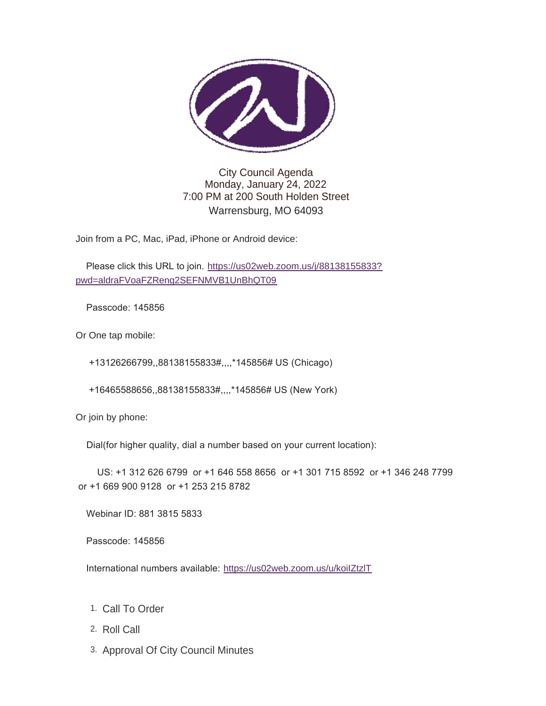

City Council Agenda Monday, January 24, 2022 7:00 PM at 200 South Holden Street Warrensburg, MO 64093

Join from a PC, Mac, iPad, iPhone or Android device:

Please click this URL to join. [https://us02web.zoom.us/j/88138155833?](https://us02web.zoom.us/j/88138155833?pwd=aldraFVoaFZReng2SEFNMVB1UnBhQT09) pwd=aldraFVoaFZReng2SEFNMVB1UnBhQT09

Passcode: 145856

Or One tap mobile:

+13126266799,,88138155833#,,,,\*145856# US (Chicago)

+16465588656,,88138155833#,,,,\*145856# US (New York)

Or join by phone:

Dial(for higher quality, dial a number based on your current location):

 US: +1 312 626 6799 or +1 646 558 8656 or +1 301 715 8592 or +1 346 248 7799 or +1 669 900 9128 or +1 253 215 8782

Webinar ID: 881 3815 5833

Passcode: 145856

International numbers available: <https://us02web.zoom.us/u/koiIZtzlT>

- 1. Call To Order
- 2. Roll Call
- 3. Approval Of City Council Minutes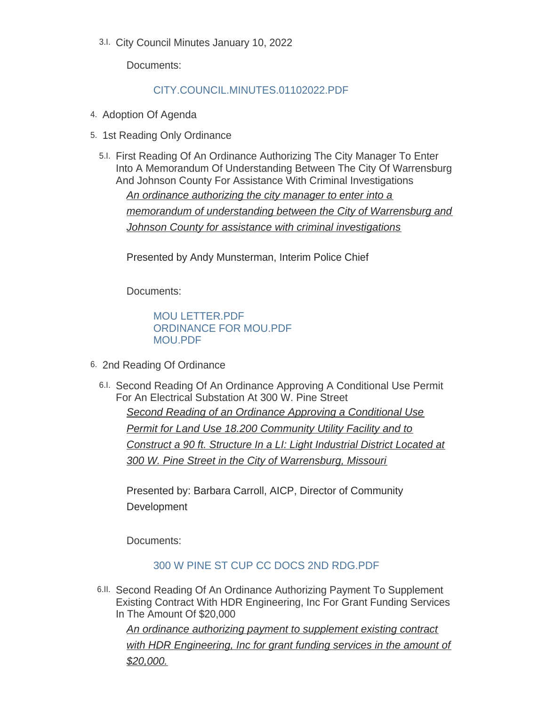City Council Minutes January 10, 2022 3.I.

Documents:

### [CITY.COUNCIL.MINUTES.01102022.PDF](https://www.warrensburg-mo.com/AgendaCenter/ViewFile/Item/5912?fileID=10264)

- 4. Adoption Of Agenda
- 5. 1st Reading Only Ordinance
	- 5.I. First Reading Of An Ordinance Authorizing The City Manager To Enter Into A Memorandum Of Understanding Between The City Of Warrensburg And Johnson County For Assistance With Criminal Investigations *An ordinance authorizing the city manager to enter into a memorandum of understanding between the City of Warrensburg and Johnson County for assistance with criminal investigations*

Presented by Andy Munsterman, Interim Police Chief

Documents:

MOULETTER PDF [ORDINANCE FOR MOU.PDF](https://www.warrensburg-mo.com/AgendaCenter/ViewFile/Item/5911?fileID=10258) [MOU.PDF](https://www.warrensburg-mo.com/AgendaCenter/ViewFile/Item/5911?fileID=10257)

- 6. 2nd Reading Of Ordinance
	- 6.I. Second Reading Of An Ordinance Approving A Conditional Use Permit For An Electrical Substation At 300 W. Pine Street *Second Reading of an Ordinance Approving a Conditional Use Permit for Land Use 18.200 Community Utility Facility and to Construct a 90 ft. Structure In a LI: Light Industrial District Located at*

*300 W. Pine Street in the City of Warrensburg, Missouri* 

Presented by: Barbara Carroll, AICP, Director of Community **Development** 

Documents:

## [300 W PINE ST CUP CC DOCS 2ND RDG.PDF](https://www.warrensburg-mo.com/AgendaCenter/ViewFile/Item/5881?fileID=10253)

6.II. Second Reading Of An Ordinance Authorizing Payment To Supplement Existing Contract With HDR Engineering, Inc For Grant Funding Services In The Amount Of \$20,000

*An ordinance authorizing payment to supplement existing contract with HDR Engineering, Inc for grant funding services in the amount of \$20,000.*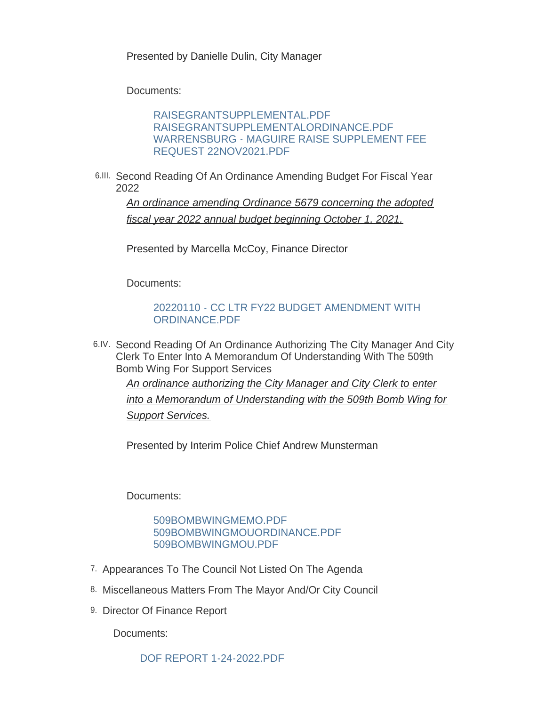Presented by Danielle Dulin, City Manager

Documents:

[RAISEGRANTSUPPLEMENTAL.PDF](https://www.warrensburg-mo.com/AgendaCenter/ViewFile/Item/5842?fileID=10221) [RAISEGRANTSUPPLEMENTALORDINANCE.PDF](https://www.warrensburg-mo.com/AgendaCenter/ViewFile/Item/5842?fileID=10222) [WARRENSBURG - MAGUIRE RAISE SUPPLEMENT FEE](https://www.warrensburg-mo.com/AgendaCenter/ViewFile/Item/5842?fileID=10223)  REQUEST 22NOV2021.PDF

6.III. Second Reading Of An Ordinance Amending Budget For Fiscal Year 2022

*An ordinance amending Ordinance 5679 concerning the adopted fiscal year 2022 annual budget beginning October 1, 2021.*

Presented by Marcella McCoy, Finance Director

Documents:

#### [20220110 - CC LTR FY22 BUDGET AMENDMENT WITH](https://www.warrensburg-mo.com/AgendaCenter/ViewFile/Item/5843?fileID=10225)  ORDINANCE.PDF

6.IV. Second Reading Of An Ordinance Authorizing The City Manager And City Clerk To Enter Into A Memorandum Of Understanding With The 509th Bomb Wing For Support Services

*An ordinance authorizing the City Manager and City Clerk to enter into a Memorandum of Understanding with the 509th Bomb Wing for Support Services.*

Presented by Interim Police Chief Andrew Munsterman

Documents:

[509BOMBWINGMEMO.PDF](https://www.warrensburg-mo.com/AgendaCenter/ViewFile/Item/5846?fileID=10230) [509BOMBWINGMOUORDINANCE.PDF](https://www.warrensburg-mo.com/AgendaCenter/ViewFile/Item/5846?fileID=10231) [509BOMBWINGMOU.PDF](https://www.warrensburg-mo.com/AgendaCenter/ViewFile/Item/5846?fileID=10232)

- 7. Appearances To The Council Not Listed On The Agenda
- 8. Miscellaneous Matters From The Mayor And/Or City Council
- 9. Director Of Finance Report

Documents:

[DOF REPORT 1-24-2022.PDF](https://www.warrensburg-mo.com/AgendaCenter/ViewFile/Item/5913?fileID=10259)